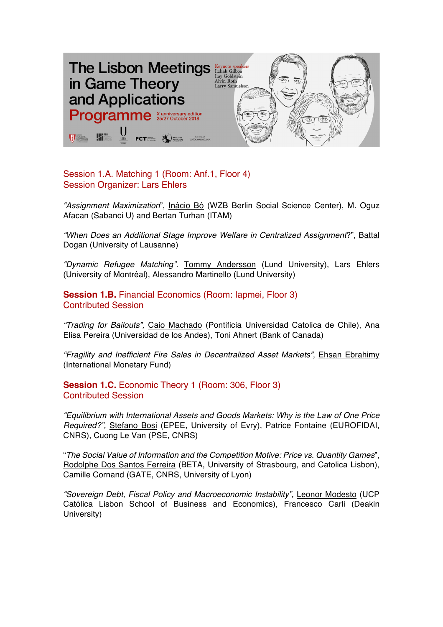

Session 1.A. Matching 1 (Room: Anf.1, Floor 4) Session Organizer: Lars Ehlers

*"Assignment Maximization*", Inácio Bó (WZB Berlin Social Science Center), M. Oguz Afacan (Sabanci U) and Bertan Turhan (ITAM)

*"When Does an Additional Stage Improve Welfare in Centralized Assignment*?", Battal Dogan (University of Lausanne)

*"Dynamic Refugee Matching".* Tommy Andersson (Lund University), Lars Ehlers (University of Montréal), Alessandro Martinello (Lund University)

**Session 1.B.** Financial Economics (Room: Iapmei, Floor 3) Contributed Session

*"Trading for Bailouts",* Caio Machado (Pontificia Universidad Catolica de Chile), Ana Elisa Pereira (Universidad de los Andes), Toni Ahnert (Bank of Canada)

*"Fragility and Inefficient Fire Sales in Decentralized Asset Markets"*, Ehsan Ebrahimy (International Monetary Fund)

**Session 1.C.** Economic Theory 1 (Room: 306, Floor 3) Contributed Session

*"Equilibrium with International Assets and Goods Markets: Why is the Law of One Price Required?",* Stefano Bosi (EPEE, University of Evry), Patrice Fontaine (EUROFIDAI, CNRS), Cuong Le Van (PSE, CNRS)

"*The Social Value of Information and the Competition Motive: Price vs. Quantity Games*", Rodolphe Dos Santos Ferreira (BETA, University of Strasbourg, and Catolica Lisbon), Camille Cornand (GATE, CNRS, University of Lyon)

*"Sovereign Debt, Fiscal Policy and Macroeconomic Instability",* Leonor Modesto (UCP Católica Lisbon School of Business and Economics), Francesco Carli (Deakin University)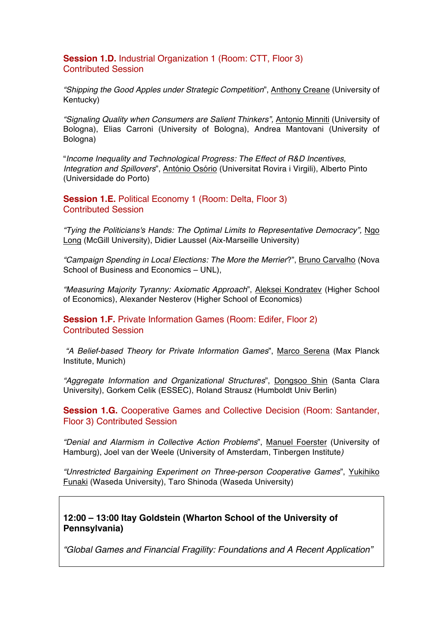**Session 1.D.** Industrial Organization 1 (Room: CTT, Floor 3) Contributed Session

*"Shipping the Good Apples under Strategic Competition*", Anthony Creane (University of Kentucky)

*"Signaling Quality when Consumers are Salient Thinkers",* Antonio Minniti (University of Bologna), Elias Carroni (University of Bologna), Andrea Mantovani (University of Bologna)

"*Income Inequality and Technological Progress: The Effect of R&D Incentives, Integration and Spillovers*", António Osório (Universitat Rovira i Virgili), Alberto Pinto (Universidade do Porto)

**Session 1.E.** Political Economy 1 (Room: Delta, Floor 3) Contributed Session

*"Tying the Politicians's Hands: The Optimal Limits to Representative Democracy",* Ngo Long (McGill University), Didier Laussel (Aix-Marseille University)

*"Campaign Spending in Local Elections: The More the Merrier*?", Bruno Carvalho (Nova School of Business and Economics – UNL),

*"Measuring Majority Tyranny: Axiomatic Approach*", Aleksei Kondratev (Higher School of Economics), Alexander Nesterov (Higher School of Economics)

**Session 1.F.** Private Information Games (Room: Edifer, Floor 2) Contributed Session

*"A Belief-based Theory for Private Information Games*", Marco Serena (Max Planck Institute, Munich)

*"Aggregate Information and Organizational Structures*", Dongsoo Shin (Santa Clara University), Gorkem Celik (ESSEC), Roland Strausz (Humboldt Univ Berlin)

**Session 1.G.** Cooperative Games and Collective Decision (Room: Santander, Floor 3) Contributed Session

*"Denial and Alarmism in Collective Action Problems*", Manuel Foerster (University of Hamburg), Joel van der Weele (University of Amsterdam, Tinbergen Institute*)*

*"Unrestricted Bargaining Experiment on Three-person Cooperative Games*", Yukihiko Funaki (Waseda University), Taro Shinoda (Waseda University)

**12:00 – 13:00 Itay Goldstein (Wharton School of the University of Pennsylvania)**

*"Global Games and Financial Fragility: Foundations and A Recent Application"*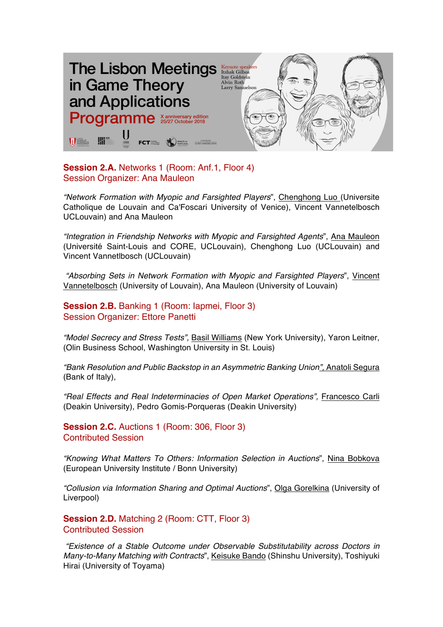

**Session 2.A.** Networks 1 (Room: Anf.1, Floor 4) Session Organizer: Ana Mauleon

*"Network Formation with Myopic and Farsighted Players*", Chenghong Luo (Universite Catholique de Louvain and Ca'Foscari University of Venice), Vincent Vannetelbosch UCLouvain) and Ana Mauleon

*"Integration in Friendship Networks with Myopic and Farsighted Agents*", Ana Mauleon (Université Saint-Louis and CORE, UCLouvain), Chenghong Luo (UCLouvain) and Vincent Vannetlbosch (UCLouvain)

*"Absorbing Sets in Network Formation with Myopic and Farsighted Players*", Vincent Vannetelbosch (University of Louvain), Ana Mauleon (University of Louvain)

**Session 2.B.** Banking 1 (Room: lapmei, Floor 3) Session Organizer: Ettore Panetti

*"Model Secrecy and Stress Tests",* Basil Williams (New York University), Yaron Leitner, (Olin Business School, Washington University in St. Louis)

*"Bank Resolution and Public Backstop in an Asymmetric Banking Union",* Anatoli Segura (Bank of Italy),

*"Real Effects and Real Indeterminacies of Open Market Operations",* Francesco Carli (Deakin University), Pedro Gomis-Porqueras (Deakin University)

**Session 2.C.** Auctions 1 (Room: 306, Floor 3) Contributed Session

*"Knowing What Matters To Others: Information Selection in Auctions*", Nina Bobkova (European University Institute / Bonn University)

*"Collusion via Information Sharing and Optimal Auctions*", Olga Gorelkina (University of Liverpool)

**Session 2.D.** Matching 2 (Room: CTT, Floor 3) Contributed Session

*"Existence of a Stable Outcome under Observable Substitutability across Doctors in Many-to-Many Matching with Contracts*", Keisuke Bando (Shinshu University), Toshiyuki Hirai (University of Toyama)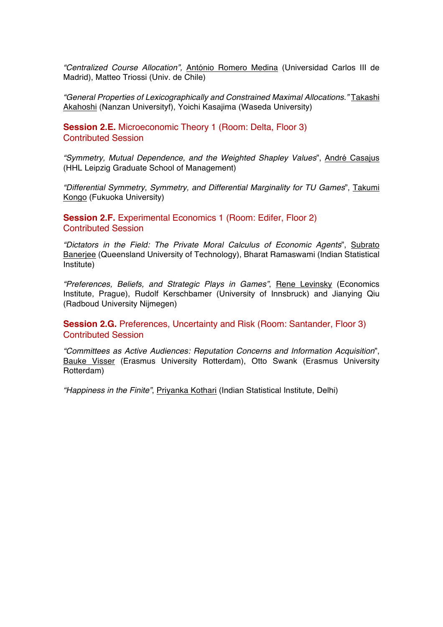*"Centralized Course Allocation",* António Romero Medina (Universidad Carlos III de Madrid), Matteo Triossi (Univ. de Chile)

*"General Properties of Lexicographically and Constrained Maximal Allocations."* Takashi Akahoshi (Nanzan Universityf), Yoichi Kasajima (Waseda University)

**Session 2.E.** Microeconomic Theory 1 (Room: Delta, Floor 3) Contributed Session

*"Symmetry, Mutual Dependence, and the Weighted Shapley Values*", André Casajus (HHL Leipzig Graduate School of Management)

*"Differential Symmetry, Symmetry, and Differential Marginality for TU Games*", Takumi Kongo (Fukuoka University)

**Session 2.F.** Experimental Economics 1 (Room: Edifer, Floor 2) Contributed Session

*"Dictators in the Field: The Private Moral Calculus of Economic Agents*", Subrato Banerjee (Queensland University of Technology), Bharat Ramaswami (Indian Statistical Institute)

*"Preferences, Beliefs, and Strategic Plays in Games"*, Rene Levinsky (Economics Institute, Prague), Rudolf Kerschbamer (University of Innsbruck) and Jianying Qiu (Radboud University Nijmegen)

**Session 2.G.** Preferences, Uncertainty and Risk (Room: Santander, Floor 3) Contributed Session

*"Committees as Active Audiences: Reputation Concerns and Information Acquisition*", Bauke Visser (Erasmus University Rotterdam), Otto Swank (Erasmus University Rotterdam)

*"Happiness in the Finite"*, Priyanka Kothari (Indian Statistical Institute, Delhi)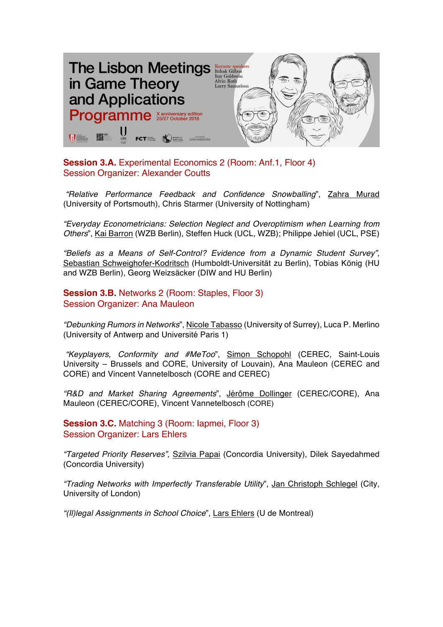

**Session 3.A.** Experimental Economics 2 (Room: Anf.1, Floor 4) Session Organizer: Alexander Coutts

*"Relative Performance Feedback and Confidence Snowballing*", Zahra Murad (University of Portsmouth), Chris Starmer (University of Nottingham)

*"Everyday Econometricians: Selection Neglect and Overoptimism when Learning from Others*", Kai Barron (WZB Berlin), Steffen Huck (UCL, WZB); Philippe Jehiel (UCL, PSE)

*"Beliefs as a Means of Self-Control? Evidence from a Dynamic Student Survey",* Sebastian Schweighofer-Kodritsch (Humboldt-Universität zu Berlin), Tobias König (HU and WZB Berlin), Georg Weizsäcker (DIW and HU Berlin)

**Session 3.B.** Networks 2 (Room: Staples, Floor 3) Session Organizer: Ana Mauleon

*"Debunking Rumors in Networks*", Nicole Tabasso (University of Surrey), Luca P. Merlino (University of Antwerp and Université Paris 1)

*"Keyplayers, Conformity and #MeToo*", Simon Schopohl (CEREC, Saint-Louis University – Brussels and CORE, University of Louvain), Ana Mauleon (CEREC and CORE) and Vincent Vannetelbosch (CORE and CEREC)

*"R&D and Market Sharing Agreements*", Jérôme Dollinger (CEREC/CORE), Ana Mauleon (CEREC/CORE), Vincent Vannetelbosch (CORE)

**Session 3.C.** Matching 3 (Room: Japmei, Floor 3) Session Organizer: Lars Ehlers

*"Targeted Priority Reserves",* Szilvia Papai (Concordia University), Dilek Sayedahmed (Concordia University)

*"Trading Networks with Imperfectly Transferable Utility*", Jan Christoph Schlegel (City, University of London)

*"(Il)legal Assignments in School Choice*", Lars Ehlers (U de Montreal)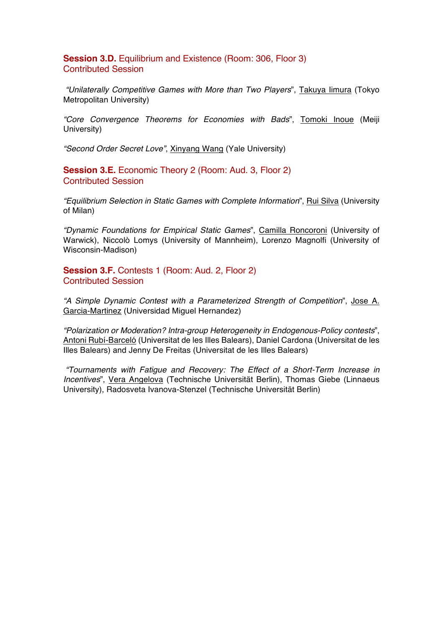**Session 3.D.** Equilibrium and Existence (Room: 306, Floor 3) Contributed Session

*"Unilaterally Competitive Games with More than Two Players*", Takuya Iimura (Tokyo Metropolitan University)

*"Core Convergence Theorems for Economies with Bads*", Tomoki Inoue (Meiji University)

*"Second Order Secret Love"*, Xinyang Wang (Yale University)

**Session 3.E.** Economic Theory 2 (Room: Aud. 3, Floor 2) Contributed Session

*"Equilibrium Selection in Static Games with Complete Information*", Rui Silva (University of Milan)

*"Dynamic Foundations for Empirical Static Games*", Camilla Roncoroni (University of Warwick), Niccolò Lomys (University of Mannheim), Lorenzo Magnolfi (University of Wisconsin-Madison)

**Session 3.F.** Contests 1 (Room: Aud. 2, Floor 2) Contributed Session

*"A Simple Dynamic Contest with a Parameterized Strength of Competition*", Jose A. Garcia-Martinez (Universidad Miguel Hernandez)

*"Polarization or Moderation? Intra-group Heterogeneity in Endogenous-Policy contests*", Antoni Rubí-Barceló (Universitat de les Illes Balears), Daniel Cardona (Universitat de les Illes Balears) and Jenny De Freitas (Universitat de les Illes Balears)

*"Tournaments with Fatigue and Recovery: The Effect of a Short-Term Increase in Incentives*", Vera Angelova (Technische Universität Berlin), Thomas Giebe (Linnaeus University), Radosveta Ivanova-Stenzel (Technische Universität Berlin)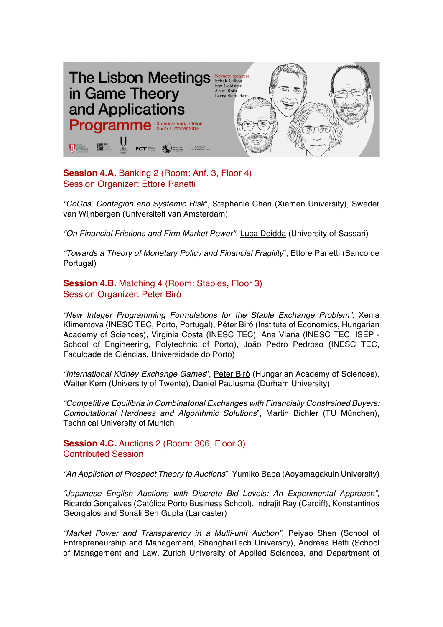

**Session 4.A.** Banking 2 (Room: Anf. 3, Floor 4) Session Organizer: Ettore Panetti

*"CoCos, Contagion and Systemic Risk*", Stephanie Chan (Xiamen University), Sweder van Wijnbergen (Universiteit van Amsterdam)

*"On Financial Frictions and Firm Market Power",* Luca Deidda (University of Sassari)

*"Towards a Theory of Monetary Policy and Financial Fragility*", Ettore Panetti (Banco de Portugal)

**Session 4.B.** Matching 4 (Room: Staples, Floor 3) Session Organizer: Peter Biró

*"New Integer Programming Formulations for the Stable Exchange Problem",* Xenia Klimentova (INESC TEC, Porto, Portugal), Péter Biró (Institute of Economics, Hungarian Academy of Sciences), Virginia Costa (INESC TEC), Ana Viana (INESC TEC, ISEP - School of Engineering, Polytechnic of Porto), João Pedro Pedroso (INESC TEC, Faculdade de Ciências, Universidade do Porto)

*"International Kidney Exchange Games*", Péter Biró (Hungarian Academy of Sciences), Walter Kern (University of Twente), Daniel Paulusma (Durham University)

*"Competitive Equilibria in Combinatorial Exchanges with Financially Constrained Buyers: Computational Hardness and Algorithmic Solutions*", Martin Bichler (TU München), Technical University of Munich

**Session 4.C.** Auctions 2 (Room: 306, Floor 3) Contributed Session

*"An Appliction of Prospect Theory to Auctions*", Yumiko Baba (Aoyamagakuin University)

*"Japanese English Auctions with Discrete Bid Levels: An Experimental Approach",*  Ricardo Gonçalves (Católica Porto Business School), Indrajit Ray (Cardiff), Konstantinos Georgalos and Sonali Sen Gupta (Lancaster)

"Market Power and Transparency in a Multi-unit Auction", Peiyao Shen (School of Entrepreneurship and Management, ShanghaiTech University), Andreas Hefti (School of Management and Law, Zurich University of Applied Sciences, and Department of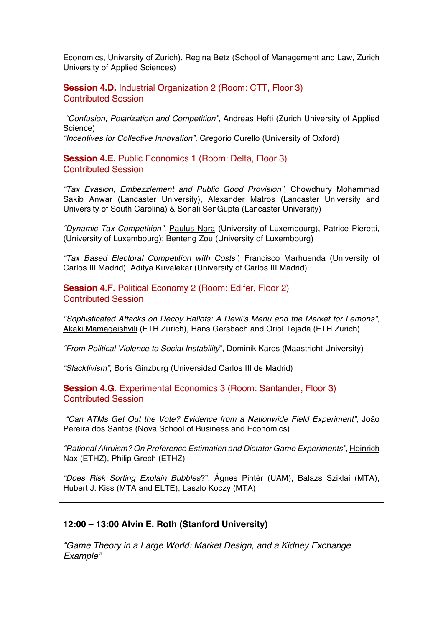Economics, University of Zurich), Regina Betz (School of Management and Law, Zurich University of Applied Sciences)

**Session 4.D.** Industrial Organization 2 (Room: CTT, Floor 3) Contributed Session

*"Confusion, Polarization and Competition",* Andreas Hefti (Zurich University of Applied Science) *"Incentives for Collective Innovation",* Gregorio Curello (University of Oxford)

**Session 4.E.** Public Economics 1 (Room: Delta, Floor 3) Contributed Session

*"Tax Evasion, Embezzlement and Public Good Provision",* Chowdhury Mohammad Sakib Anwar (Lancaster University), Alexander Matros (Lancaster University and University of South Carolina) & Sonali SenGupta (Lancaster University)

*"Dynamic Tax Competition",* Paulus Nora (University of Luxembourg), Patrice Pieretti, (University of Luxembourg); Benteng Zou (University of Luxembourg)

*"Tax Based Electoral Competition with Costs",* Francisco Marhuenda (University of Carlos III Madrid), Aditya Kuvalekar (University of Carlos III Madrid)

**Session 4.F.** Political Economy 2 (Room: Edifer, Floor 2) Contributed Session

*"Sophisticated Attacks on Decoy Ballots: A Devil's Menu and the Market for Lemons",*  Akaki Mamageishvili (ETH Zurich), Hans Gersbach and Oriol Tejada (ETH Zurich)

*"From Political Violence to Social Instability*", Dominik Karos (Maastricht University)

*"Slacktivism",* Boris Ginzburg (Universidad Carlos III de Madrid)

**Session 4.G.** Experimental Economics 3 (Room: Santander, Floor 3) Contributed Session

*"Can ATMs Get Out the Vote? Evidence from a Nationwide Field Experiment",* João Pereira dos Santos (Nova School of Business and Economics)

*"Rational Altruism? On Preference Estimation and Dictator Game Experiments",* Heinrich Nax (ETHZ), Philip Grech (ETHZ)

*"Does Risk Sorting Explain Bubbles*?", Ágnes Pintér (UAM), Balazs Sziklai (MTA), Hubert J. Kiss (MTA and ELTE), Laszlo Koczy (MTA)

#### **12:00 – 13:00 Alvin E. Roth (Stanford University)**

*"Game Theory in a Large World: Market Design, and a Kidney Exchange Example"*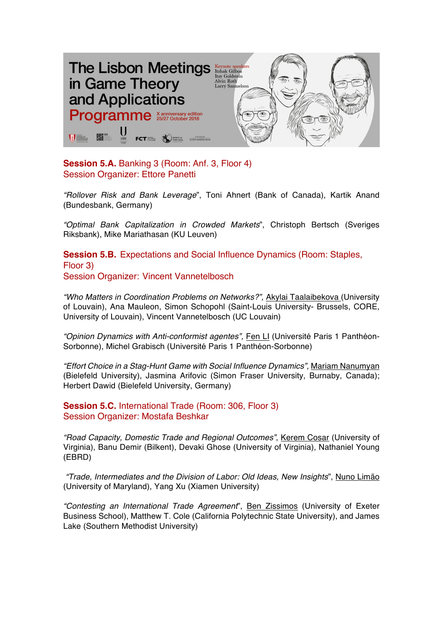

**Session 5.A.** Banking 3 (Room: Anf. 3, Floor 4) Session Organizer: Ettore Panetti

*"Rollover Risk and Bank Leverage*", Toni Ahnert (Bank of Canada), Kartik Anand (Bundesbank, Germany)

*"Optimal Bank Capitalization in Crowded Markets*", Christoph Bertsch (Sveriges Riksbank), Mike Mariathasan (KU Leuven)

**Session 5.B.** Expectations and Social Influence Dynamics (Room: Staples, Floor 3) Session Organizer: Vincent Vannetelbosch

*"Who Matters in Coordination Problems on Networks?",* Akylai Taalaibekova (University of Louvain), Ana Mauleon, Simon Schopohl (Saint-Louis University- Brussels, CORE, University of Louvain), Vincent Vannetelbosch (UC Louvain)

"Opinion Dynamics with Anti-conformist agentes", **Fen LI (Université Paris 1 Panthéon-**Sorbonne), Michel Grabisch (Université Paris 1 Panthéon-Sorbonne)

*"Effort Choice in a Stag-Hunt Game with Social Influence Dynamics",* Mariam Nanumyan (Bielefeld University), Jasmina Arifovic (Simon Fraser University, Burnaby, Canada); Herbert Dawid (Bielefeld University, Germany)

**Session 5.C.** International Trade (Room: 306, Floor 3) Session Organizer: Mostafa Beshkar

*"Road Capacity, Domestic Trade and Regional Outcomes"*, Kerem Cosar (University of Virginia), Banu Demir (Bilkent), Devaki Ghose (University of Virginia), Nathaniel Young (EBRD)

*"Trade, Intermediates and the Division of Labor: Old Ideas, New Insights*", Nuno Limão (University of Maryland), Yang Xu (Xiamen University)

*"Contesting an International Trade Agreement*", Ben Zissimos (University of Exeter Business School), Matthew T. Cole (California Polytechnic State University), and James Lake (Southern Methodist University)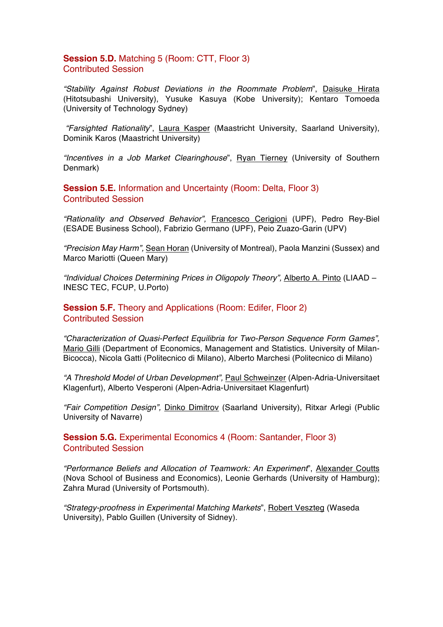## **Session 5.D.** Matching 5 (Room: CTT, Floor 3) Contributed Session

*"Stability Against Robust Deviations in the Roommate Problem*", Daisuke Hirata (Hitotsubashi University), Yusuke Kasuya (Kobe University); Kentaro Tomoeda (University of Technology Sydney)

*"Farsighted Rationality*", Laura Kasper (Maastricht University, Saarland University), Dominik Karos (Maastricht University)

*"Incentives in a Job Market Clearinghouse*", Ryan Tierney (University of Southern Denmark)

**Session 5.E.** Information and Uncertainty (Room: Delta, Floor 3) Contributed Session

*"Rationality and Observed Behavior",* Francesco Cerigioni (UPF), Pedro Rey-Biel (ESADE Business School), Fabrizio Germano (UPF), Peio Zuazo-Garin (UPV)

*"Precision May Harm",* Sean Horan (University of Montreal), Paola Manzini (Sussex) and Marco Mariotti (Queen Mary)

*"Individual Choices Determining Prices in Oligopoly Theory",* Alberto A. Pinto (LIAAD – INESC TEC, FCUP, U.Porto)

**Session 5.F.** Theory and Applications (Room: Edifer, Floor 2) Contributed Session

*"Characterization of Quasi-Perfect Equilibria for Two-Person Sequence Form Games",*  Mario Gilli (Department of Economics, Management and Statistics. University of Milan-Bicocca), Nicola Gatti (Politecnico di Milano), Alberto Marchesi (Politecnico di Milano)

*"A Threshold Model of Urban Development",* Paul Schweinzer (Alpen-Adria-Universitaet Klagenfurt), Alberto Vesperoni (Alpen-Adria-Universitaet Klagenfurt)

*"Fair Competition Design",* Dinko Dimitrov (Saarland University), Ritxar Arlegi (Public University of Navarre)

**Session 5.G.** Experimental Economics 4 (Room: Santander, Floor 3) Contributed Session

*"Performance Beliefs and Allocation of Teamwork: An Experiment*", Alexander Coutts (Nova School of Business and Economics), Leonie Gerhards (University of Hamburg); Zahra Murad (University of Portsmouth).

*"Strategy-proofness in Experimental Matching Markets*", Robert Veszteg (Waseda University), Pablo Guillen (University of Sidney).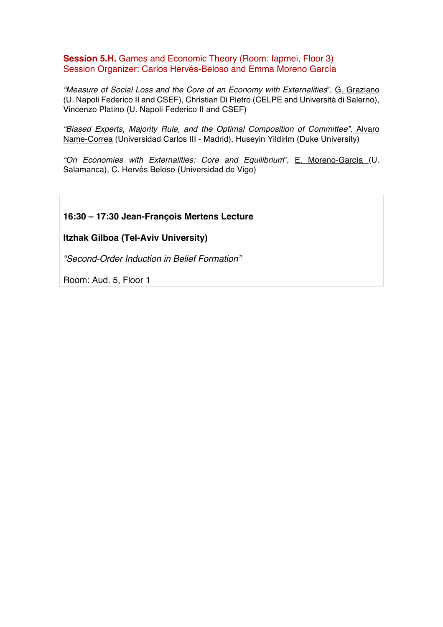**Session 5.H.** Games and Economic Theory (Room: lapmei, Floor 3) Session Organizer: Carlos Hervés-Beloso and Emma Moreno García

*"Measure of Social Loss and the Core of an Economy with Externalities*", G. Graziano (U. Napoli Federico II and CSEF), Christian Di Pietro (CELPE and Università di Salerno), Vincenzo Platino (U. Napoli Federico II and CSEF)

*"Biased Experts, Majority Rule, and the Optimal Composition of Committee",* Alvaro Name-Correa (Universidad Carlos III - Madrid), Huseyin Yildirim (Duke University)

*"On Economies with Externalities: Core and Equilibrium*", E. Moreno-García (U. Salamanca), C. Hervés Beloso (Universidad de Vigo)

# **16:30 – 17:30 Jean-François Mertens Lecture**

## **Itzhak Gilboa (Tel-Aviv University)**

*"Second-Order Induction in Belief Formation"*

Room: Aud. 5, Floor 1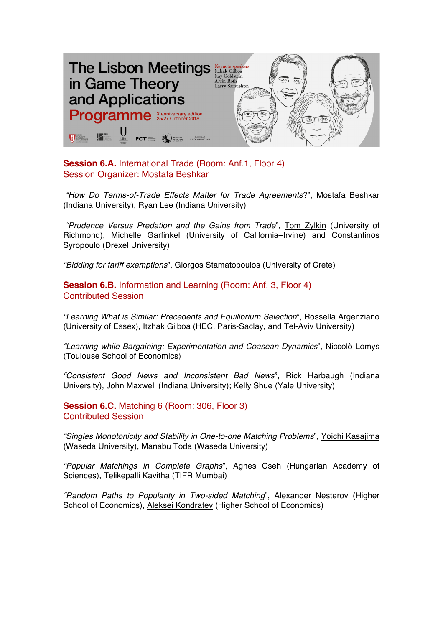

**Session 6.A.** International Trade (Room: Anf.1, Floor 4) Session Organizer: Mostafa Beshkar

*"How Do Terms-of-Trade Effects Matter for Trade Agreements*?", Mostafa Beshkar (Indiana University), Ryan Lee (Indiana University)

*"Prudence Versus Predation and the Gains from Trade*", Tom Zylkin (University of Richmond), Michelle Garfinkel (University of California–Irvine) and Constantinos Syropoulo (Drexel University)

*"Bidding for tariff exemptions*", Giorgos Stamatopoulos (University of Crete)

**Session 6.B.** Information and Learning (Room: Anf. 3, Floor 4) Contributed Session

*"Learning What is Similar: Precedents and Equilibrium Selection*", Rossella Argenziano (University of Essex), Itzhak Gilboa (HEC, Paris-Saclay, and Tel-Aviv University)

*"Learning while Bargaining: Experimentation and Coasean Dynamics*", Niccolò Lomys (Toulouse School of Economics)

*"Consistent Good News and Inconsistent Bad News*", Rick Harbaugh (Indiana University), John Maxwell (Indiana University); Kelly Shue (Yale University)

**Session 6.C.** Matching 6 (Room: 306, Floor 3) Contributed Session

*"Singles Monotonicity and Stability in One-to-one Matching Problems*", Yoichi Kasajima (Waseda University), Manabu Toda (Waseda University)

*"Popular Matchings in Complete Graphs*", Agnes Cseh (Hungarian Academy of Sciences), Telikepalli Kavitha (TIFR Mumbai)

*"Random Paths to Popularity in Two-sided Matching*", Alexander Nesterov (Higher School of Economics), Aleksei Kondratev (Higher School of Economics)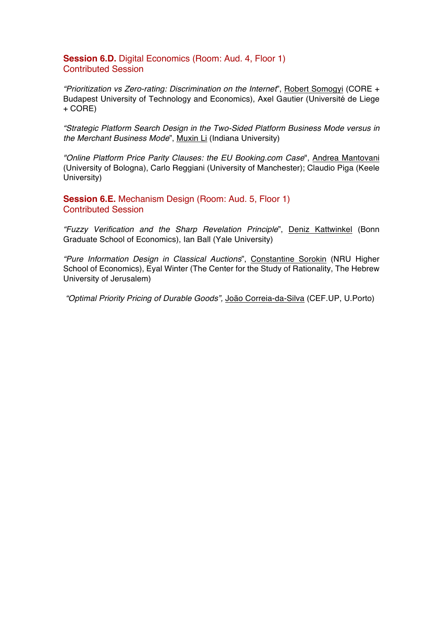## **Session 6.D.** Digital Economics (Room: Aud. 4, Floor 1) Contributed Session

*"Prioritization vs Zero-rating: Discrimination on the Internet*", Robert Somogyi (CORE + Budapest University of Technology and Economics), Axel Gautier (Université de Liege + CORE)

*"Strategic Platform Search Design in the Two-Sided Platform Business Mode versus in the Merchant Business Mode*", Muxin Li (Indiana University)

*"Online Platform Price Parity Clauses: the EU Booking.com Case*", Andrea Mantovani (University of Bologna), Carlo Reggiani (University of Manchester); Claudio Piga (Keele University)

**Session 6.E.** Mechanism Design (Room: Aud. 5, Floor 1) Contributed Session

*"Fuzzy Verification and the Sharp Revelation Principle*", Deniz Kattwinkel (Bonn Graduate School of Economics), Ian Ball (Yale University)

*"Pure Information Design in Classical Auctions*", Constantine Sorokin (NRU Higher School of Economics), Eyal Winter (The Center for the Study of Rationality, The Hebrew University of Jerusalem)

*"Optimal Priority Pricing of Durable Goods",* João Correia-da-Silva (CEF.UP, U.Porto)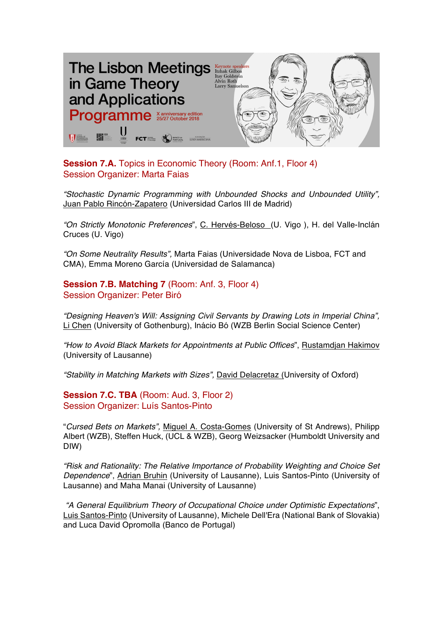

**Session 7.A.** Topics in Economic Theory (Room: Anf.1, Floor 4) Session Organizer: Marta Faias

*"Stochastic Dynamic Programming with Unbounded Shocks and Unbounded Utility",*  Juan Pablo Rincón-Zapatero (Universidad Carlos III de Madrid)

*"On Strictly Monotonic Preferences*", C. Hervés-Beloso (U. Vigo ), H. del Valle-Inclán Cruces (U. Vigo)

*"On Some Neutrality Results",* Marta Faias (Universidade Nova de Lisboa, FCT and CMA), Emma Moreno García (Universidad de Salamanca)

**Session 7.B. Matching 7** (Room: Anf. 3, Floor 4) Session Organizer: Peter Biró

*"Designing Heaven's Will: Assigning Civil Servants by Drawing Lots in Imperial China",*  Li Chen (University of Gothenburg), Inácio Bó (WZB Berlin Social Science Center)

*"How to Avoid Black Markets for Appointments at Public Offices*", Rustamdjan Hakimov (University of Lausanne)

*"Stability in Matching Markets with Sizes",* David Delacretaz (University of Oxford)

**Session 7.C. TBA** (Room: Aud. 3, Floor 2) Session Organizer: Luís Santos-Pinto

"*Cursed Bets on Markets",* Miguel A. Costa-Gomes (University of St Andrews), Philipp Albert (WZB), Steffen Huck, (UCL & WZB), Georg Weizsacker (Humboldt University and DIW)

*"Risk and Rationality: The Relative Importance of Probability Weighting and Choice Set Dependence*", Adrian Bruhin (University of Lausanne), Luis Santos-Pinto (University of Lausanne) and Maha Manai (University of Lausanne)

*"A General Equilibrium Theory of Occupational Choice under Optimistic Expectations*", Luis Santos-Pinto (University of Lausanne), Michele Dell'Era (National Bank of Slovakia) and Luca David Opromolla (Banco de Portugal)